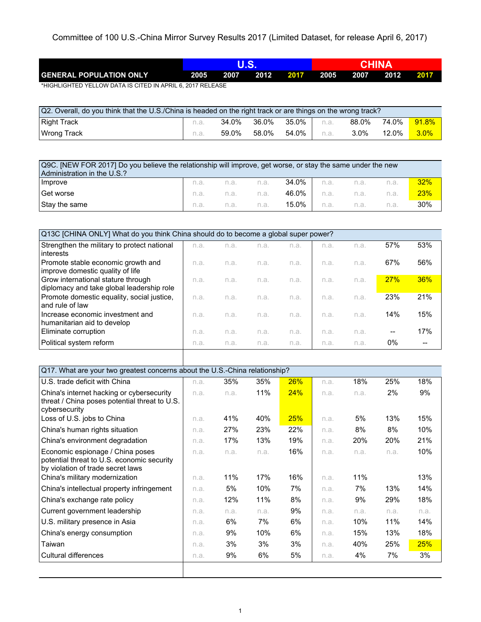Committee of 100 U.S.-China Mirror Survey Results 2017 (Limited Dataset, for release April 6, 2017)

|                                                        |      |      |      |      | CHINA |      |      |      |  |
|--------------------------------------------------------|------|------|------|------|-------|------|------|------|--|
| <b>GENERAL POPULATION ONLY</b>                         | 2005 | 2007 | 2012 | 2017 | 2005  | 2007 | 2012 | 2017 |  |
| HUOULOUTED VELLOW DATA IO OITED IN ADDULO 0047 DELEAOE |      |      |      |      |       |      |      |      |  |

\*HIGHLIGHTED YELLOW DATA IS CITED IN APRIL 6, 2017 RELEASE

| Q2. Overall, do you think that the U.S./China is headed on the right track or are things on the wrong track? |      |       |       |         |      |         |       |                |
|--------------------------------------------------------------------------------------------------------------|------|-------|-------|---------|------|---------|-------|----------------|
| Right Track                                                                                                  | n.a. | 34.0% | 36.0% | 35.0%   | n.a. | 88.0%   | 74.0% | $91.8\%$       |
| Wrong Track                                                                                                  | n.a. | 59.0% | 58.0% | 54.0% l | n.a. | $3.0\%$ | 12.0% | $\sqrt{3.0\%}$ |

| Q9C. [NEW FOR 2017] Do you believe the relationship will improve, get worse, or stay the same under the new<br>Administration in the U.S.? |      |                |  |                                       |  |                 |      |            |
|--------------------------------------------------------------------------------------------------------------------------------------------|------|----------------|--|---------------------------------------|--|-----------------|------|------------|
| Improve                                                                                                                                    |      |                |  | n.a. n.a. n.a. <b>34.0%</b> n.a. n.a. |  |                 | n.a. | 32%        |
| Get worse                                                                                                                                  |      | n.a. n.a. n.a. |  |                                       |  | 46.0% n.a. n.a. | n.a. | <b>23%</b> |
| Stay the same                                                                                                                              | n.a. | n.a. n.a.      |  | 15.0% l                               |  | n.a. n.a.       |      | 30%        |

| Q13C [CHINA ONLY] What do you think China should do to become a global super power? |      |      |      |      |      |      |     |     |
|-------------------------------------------------------------------------------------|------|------|------|------|------|------|-----|-----|
| Strengthen the military to protect national                                         | n.a. | n.a. | n.a. | n.a. | n.a. | n.a. | 57% | 53% |
| interests                                                                           |      |      |      |      |      |      |     |     |
| Promote stable economic growth and                                                  | n.a. | n.a. | n.a. | n.a. | n.a. | n.a. | 67% | 56% |
| improve domestic quality of life                                                    |      |      |      |      |      |      |     |     |
| Grow international stature through                                                  | n.a. | n.a. | n.a. | n.a. | n.a. | n.a. | 27% | 36% |
| diplomacy and take global leadership role                                           |      |      |      |      |      |      |     |     |
| Promote domestic equality, social justice,                                          | n.a. | n.a. | n.a. | n.a. | n.a. | n.a. | 23% | 21% |
| and rule of law                                                                     |      |      |      |      |      |      |     |     |
| Increase economic investment and                                                    | n.a. | n.a. | n.a. | n.a. | n.a. | n.a. | 14% | 15% |
| humanitarian aid to develop                                                         |      |      |      |      |      |      |     |     |
| Eliminate corruption                                                                | n.a. | n.a. | n.a. | n.a. | n.a. | n.a. |     | 17% |
| Political system reform                                                             | n.a. | n.a. | n.a. | n.a. | n.a. | n.a. | 0%  |     |

| Q17. What are your two greatest concerns about the U.S.-China relationship?    |      |      |      |     |      |      |      |      |
|--------------------------------------------------------------------------------|------|------|------|-----|------|------|------|------|
| U.S. trade deficit with China                                                  | n.a. | 35%  | 35%  | 26% | n.a. | 18%  | 25%  | 18%  |
| China's internet hacking or cybersecurity                                      | n.a. | n.a. | 11%  | 24% | n.a. | n.a. | 2%   | 9%   |
| threat / China poses potential threat to U.S.<br>cybersecurity                 |      |      |      |     |      |      |      |      |
| Loss of U.S. jobs to China                                                     | n.a. | 41%  | 40%  | 25% | n.a. | 5%   | 13%  | 15%  |
| China's human rights situation                                                 | n.a. | 27%  | 23%  | 22% | n.a. | 8%   | 8%   | 10%  |
| China's environment degradation                                                | n.a. | 17%  | 13%  | 19% | n.a. | 20%  | 20%  | 21%  |
| Economic espionage / China poses<br>potential threat to U.S. economic security | n.a. | n.a. | n.a. | 16% | n.a. | n.a. | n.a. | 10%  |
| by violation of trade secret laws                                              |      |      |      |     |      |      |      |      |
| China's military modernization                                                 | n.a. | 11%  | 17%  | 16% | n.a. | 11%  |      | 13%  |
| China's intellectual property infringement                                     | n.a. | 5%   | 10%  | 7%  | n.a. | 7%   | 13%  | 14%  |
| China's exchange rate policy                                                   | n.a. | 12%  | 11%  | 8%  | n.a. | 9%   | 29%  | 18%  |
| Current government leadership                                                  | n.a. | n.a. | n.a. | 9%  | n.a. | n.a. | n.a. | n.a. |
| U.S. military presence in Asia                                                 | n.a. | 6%   | 7%   | 6%  | n.a. | 10%  | 11%  | 14%  |
| China's energy consumption                                                     | n.a. | 9%   | 10%  | 6%  | n.a. | 15%  | 13%  | 18%  |
| Taiwan                                                                         | n.a. | 3%   | 3%   | 3%  | n.a. | 40%  | 25%  | 25%  |
| <b>Cultural differences</b>                                                    | n.a. | 9%   | 6%   | 5%  | n.a. | 4%   | 7%   | 3%   |
|                                                                                |      |      |      |     |      |      |      |      |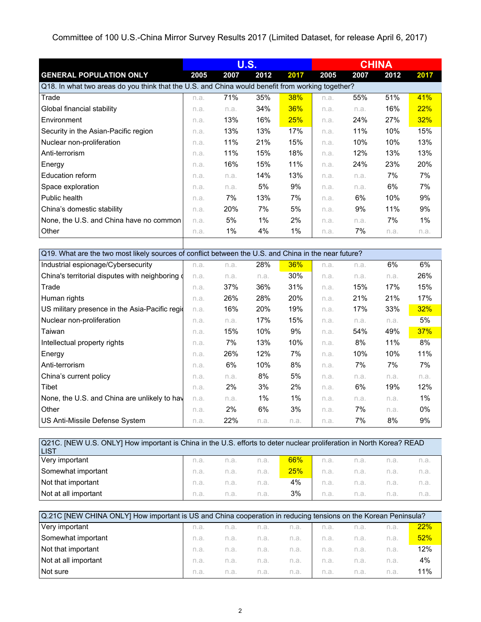## Committee of 100 U.S.-China Mirror Survey Results 2017 (Limited Dataset, for release April 6, 2017)

|                                                                                                  |      | <b>U.S.</b> |       | <b>CHINA</b> |      |      |      |      |
|--------------------------------------------------------------------------------------------------|------|-------------|-------|--------------|------|------|------|------|
| <b>GENERAL POPULATION ONLY</b>                                                                   | 2005 | 2007        | 2012  | 2017         | 2005 | 2007 | 2012 | 2017 |
| Q18. In what two areas do you think that the U.S. and China would benefit from working together? |      |             |       |              |      |      |      |      |
| Trade                                                                                            | n.a. | 71%         | 35%   | <b>38%</b>   | n.a. | 55%  | 51%  | 41%  |
| Global financial stability                                                                       | n.a. | n.a.        | 34%   | 36%          | n.a. | n.a. | 16%  | 22%  |
| Environment                                                                                      | n.a. | 13%         | 16%   | <b>25%</b>   | n.a. | 24%  | 27%  | 32%  |
| Security in the Asian-Pacific region                                                             | n.a. | 13%         | 13%   | 17%          | n.a. | 11%  | 10%  | 15%  |
| Nuclear non-proliferation                                                                        | n.a. | 11%         | 21%   | 15%          | n.a. | 10%  | 10%  | 13%  |
| Anti-terrorism                                                                                   | n.a. | 11%         | 15%   | 18%          | n.a. | 12%  | 13%  | 13%  |
| Energy                                                                                           | n.a. | 16%         | 15%   | 11%          | n.a. | 24%  | 23%  | 20%  |
| Education reform                                                                                 | n.a. | n.a.        | 14%   | 13%          | n.a. | n.a. | 7%   | 7%   |
| Space exploration                                                                                | n.a. | n.a.        | 5%    | 9%           | n.a. | n.a. | 6%   | 7%   |
| Public health                                                                                    | n.a. | 7%          | 13%   | 7%           | n.a. | 6%   | 10%  | 9%   |
| China's domestic stability                                                                       | n.a. | 20%         | 7%    | 5%           | n.a. | 9%   | 11%  | 9%   |
| None, the U.S. and China have no common                                                          | n.a. | 5%          | $1\%$ | $2\%$        | n.a. | n.a. | 7%   | 1%   |
| Other                                                                                            | n.a. | $1\%$       | 4%    | $1\%$        | n.a. | 7%   | n.a. | n.a. |
|                                                                                                  |      |             |       |              |      |      |      |      |

|                                                  | Q19. What are the two most likely sources of conflict between the U.S. and China in the near future? |       |       |       |      |      |      |       |  |
|--------------------------------------------------|------------------------------------------------------------------------------------------------------|-------|-------|-------|------|------|------|-------|--|
| Industrial espionage/Cybersecurity               | n.a.                                                                                                 | n.a.  | 28%   | 36%   | n.a. | n.a. | 6%   | 6%    |  |
| China's territorial disputes with neighboring of | n.a.                                                                                                 | n.a.  | n.a.  | 30%   | n.a. | n.a. | n.a. | 26%   |  |
| Trade                                            | n.a.                                                                                                 | 37%   | 36%   | 31%   | n.a. | 15%  | 17%  | 15%   |  |
| Human rights                                     | n.a.                                                                                                 | 26%   | 28%   | 20%   | n.a. | 21%  | 21%  | 17%   |  |
| US military presence in the Asia-Pacific region  | n.a.                                                                                                 | 16%   | 20%   | 19%   | n.a. | 17%  | 33%  | 32%   |  |
| Nuclear non-proliferation                        | n.a.                                                                                                 | n.a.  | 17%   | 15%   | n.a. | n.a. | n.a. | 5%    |  |
| Taiwan                                           | n.a.                                                                                                 | 15%   | 10%   | 9%    | n.a. | 54%  | 49%  | 37%   |  |
| Intellectual property rights                     | n.a.                                                                                                 | 7%    | 13%   | 10%   | n.a. | 8%   | 11%  | 8%    |  |
| Energy                                           | n.a.                                                                                                 | 26%   | 12%   | 7%    | n.a. | 10%  | 10%  | 11%   |  |
| Anti-terrorism                                   | n.a.                                                                                                 | 6%    | 10%   | 8%    | n.a. | 7%   | 7%   | 7%    |  |
| China's current policy                           | n.a.                                                                                                 | n.a.  | 8%    | 5%    | n.a. | n.a. | n.a. | n.a.  |  |
| Tibet                                            | n.a.                                                                                                 | $2\%$ | 3%    | 2%    | n.a. | 6%   | 19%  | 12%   |  |
| None, the U.S. and China are unlikely to hay     | n.a.                                                                                                 | n.a.  | $1\%$ | $1\%$ | n.a. | n.a. | n.a. | $1\%$ |  |
| Other                                            | n.a.                                                                                                 | 2%    | 6%    | 3%    | n.a. | 7%   | n.a. | 0%    |  |
| US Anti-Missile Defense System                   | n.a.                                                                                                 | 22%   | n.a.  | n.a.  | n.a. | 7%   | 8%   | 9%    |  |

| Q21C. [NEW U.S. ONLY] How important is China in the U.S. efforts to deter nuclear proliferation in North Korea? READ<br>ILIST |      |      |      |     |      |      |      |      |
|-------------------------------------------------------------------------------------------------------------------------------|------|------|------|-----|------|------|------|------|
| Very important                                                                                                                | n.a. | n.a. | n.a. | 66% | n.a. | n.a. | n.a. | n.a. |
| Somewhat important                                                                                                            | n.a. | n.a. | n.a. | 25% | n.a. | n.a. | n.a. | n.a. |
| Not that important                                                                                                            | n.a. | n.a. | n.a. | 4%  | n.a. | n.a. | n.a. | n.a. |
| Not at all important                                                                                                          | n.a. | n.a. | n.a. | 3%  | n.a. | n.a. | n.a. | n.a. |

| Q.21C [NEW CHINA ONLY] How important is US and China cooperation in reducing tensions on the Korean Peninsula? |      |      |      |      |      |      |      |     |
|----------------------------------------------------------------------------------------------------------------|------|------|------|------|------|------|------|-----|
| Very important                                                                                                 | n.a. | n.a. | n.a. | n.a. | n.a. | n.a. | n.a. | 22% |
| Somewhat important                                                                                             | n.a. | n.a. | n.a. | n.a. | n.a. | n.a. | n.a. | 52% |
| Not that important                                                                                             | n.a. | n.a. | n.a. | n.a. | n.a. | n.a. | n.a. | 12% |
| Not at all important                                                                                           | n.a. | n.a. | n.a. | n.a. | n.a. | n.a. | n.a. | 4%  |
| Not sure                                                                                                       | n.a. | n.a. | n.a. | n.a. | n.a. | n.a. | n.a. | 11% |